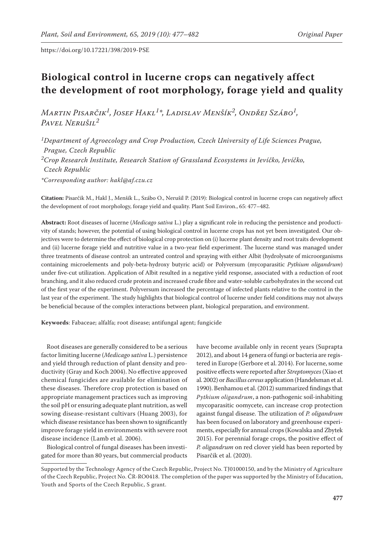# **Biological control in lucerne crops can negatively affect the development of root morphology, forage yield and quality**

*Martin Pisarčik1, Josef Hakl1\*, Ladislav Menšík2, Ondřej Szábo1, Pavel Nerušil<sup>2</sup>*

*1Department of Agroecology and Crop Production, Czech University of Life Sciences Prague, Prague, Czech Republic 2Crop Research Institute, Research Station of Grassland Ecosystems in Jevíčko, Jevíčko, Czech Republic*

*\*Corresponding author: hakl@af.czu.cz*

**Citation:** Pisarčik M., Hakl J., Menšík L., Szábo O., Nerušil P. (2019): Biological control in lucerne crops can negatively affect the development of root morphology, forage yield and quality. Plant Soil Environ., 65: 477–482.

**Abstract:** Root diseases of lucerne (*Medicago sativa* L.) play a significant role in reducing the persistence and productivity of stands; however, the potential of using biological control in lucerne crops has not yet been investigated. Our objectives were to determine the effect of biological crop protection on (i) lucerne plant density and root traits development and (ii) lucerne forage yield and nutritive value in a two-year field experiment. The lucerne stand was managed under three treatments of disease control: an untreated control and spraying with either Albit (hydrolysate of microorganisms containing microelements and poly-beta-hydroxy butyric acid) or Polyversum (mycoparasitic *Pythium oligandrum*) under five-cut utilization. Application of Albit resulted in a negative yield response, associated with a reduction of root branching, and it also reduced crude protein and increased crude fibre and water-soluble carbohydrates in the second cut of the first year of the experiment. Polyversum increased the percentage of infected plants relative to the control in the last year of the experiment. The study highlights that biological control of lucerne under field conditions may not always be beneficial because of the complex interactions between plant, biological preparation, and environment.

**Keywords**: Fabaceae; alfalfa; root disease; antifungal agent; fungicide

Root diseases are generally considered to be a serious factor limiting lucerne (*Medicago sativa* L.) persistence and yield through reduction of plant density and productivity (Gray and Koch 2004). No effective approved chemical fungicides are available for elimination of these diseases. Therefore crop protection is based on appropriate management practices such as improving the soil pH or ensuring adequate plant nutrition, as well sowing disease-resistant cultivars (Huang 2003), for which disease resistance has been shown to significantly improve forage yield in environments with severe root disease incidence (Lamb et al. 2006).

Biological control of fungal diseases has been investigated for more than 80 years, but commercial products have become available only in recent years (Suprapta 2012), and about 14 genera of fungi or bacteria are registered in Europe (Gerbore et al. 2014). For lucerne, some positive effects were reported after *Streptomyces* (Xiao et al. 2002) or *Bacillus cereus* application (Handelsman et al. 1990). Benhamou et al. (2012) summarized findings that *Pythium oligandrum*, a non-pathogenic soil-inhabiting mycoparasitic oomycete, can increase crop protection against fungal disease. The utilization of *P. oligandrum* has been focused on laboratory and greenhouse experiments, especially for annual crops (Kowalska and Zbytek 2015). For perennial forage crops, the positive effect of *P. oligandrum* on red clover yield has been reported by Pisarčik et al. (2020).

Supported by the Technology Agency of the Czech Republic, Project No. TJ01000150, and by the Ministry of Agriculture of the Czech Republic, Project No. ČR-RO0418. The completion of the paper was supported by the Ministry of Education, Youth and Sports of the Czech Republic, S grant.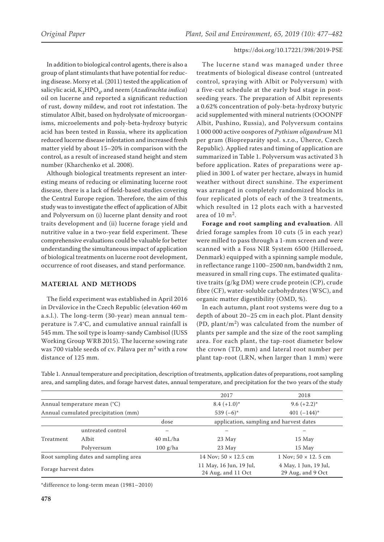In addition to biological control agents, there is also a group of plant stimulants that have potential for reducing disease. Morsy et al. (2011) tested the application of salicylic acid, K<sub>2</sub>HPO<sub>4</sub>, and neem (*Azadirachta indica*) oil on lucerne and reported a significant reduction of rust, downy mildew, and root rot infestation. The stimulator Albit, based on hydrolysate of microorganisms, microelements and poly-beta-hydroxy butyric acid has been tested in Russia, where its application reduced lucerne disease infestation and increased fresh matter yield by about 15–20% in comparison with the control, as a result of increased stand height and stem number (Kharchenko et al. 2008).

Although biological treatments represent an interesting means of reducing or eliminating lucerne root disease, there is a lack of field-based studies covering the Central Europe region. Therefore, the aim of this study was to investigate the effect of application of Albit and Polyversum on (i) lucerne plant density and root traits development and (ii) lucerne forage yield and nutritive value in a two-year field experiment. These comprehensive evaluations could be valuable for better understanding the simultaneous impact of application of biological treatments on lucerne root development, occurrence of root diseases, and stand performance.

# **MATERIAL AND METHODS**

The field experiment was established in April 2016 in Drválovice in the Czech Republic (elevation 460 m a.s.l.). The long-term (30-year) mean annual temperature is 7.4°C, and cumulative annual rainfall is 545 mm. The soil type is loamy-sandy Cambisol (IUSS Working Group WRB 2015). The lucerne sowing rate was 700 viable seeds of cv. Pálava per  $m<sup>2</sup>$  with a row distance of 125 mm.

The lucerne stand was managed under three treatments of biological disease control (untreated control, spraying with Albit or Polyversum) with a five-cut schedule at the early bud stage in postseeding years. The preparation of Albit represents a 0.62% concentration of poly-beta-hydroxy butyric acid supplemented with mineral nutrients (OOONPF Albit, Pushino, Russia), and Polyversum contains 1 000 000 active oospores of *Pythium oligandrum* M1 per gram (Biopreparáty spol. s.r.o., Úherce, Czech Republic). Applied rates and timing of application are summarized in Table 1. Polyversum was activated 3 h before application. Rates of preparations were applied in 300 L of water per hectare, always in humid weather without direct sunshine. The experiment was arranged in completely randomized blocks in four replicated plots of each of the 3 treatments, which resulted in 12 plots each with a harvested area of  $10 \text{ m}^2$ .

**Forage and root sampling and evaluation**. All dried forage samples from 10 cuts (5 in each year) were milled to pass through a 1-mm screen and were scanned with a Foss NIR System 6500 (Hilleroed, Denmark) equipped with a spinning sample module, in reflectance range 1100–2500 nm, bandwidth 2 nm, measured in small ring cups. The estimated qualitative traits (g/kg DM) were crude protein (CP), crude fibre (CF), water-soluble carbohydrates (WSC), and organic matter digestibility (OMD, %).

In each autumn, plant root systems were dug to a depth of about 20–25 cm in each plot. Plant density  $(PD, plant/m<sup>2</sup>)$  was calculated from the number of plants per sample and the size of the root sampling area. For each plant, the tap-root diameter below the crown (TD, mm) and lateral root number per plant tap-root (LRN, when larger than 1 mm) were

|                                       |                   |              | 2017                                          | 2018                                       |  |  |
|---------------------------------------|-------------------|--------------|-----------------------------------------------|--------------------------------------------|--|--|
| Annual temperature mean (°C)          |                   |              | $8.4 (+1.0)^*$                                | $9.6 (+2.2)^*$                             |  |  |
| Annual cumulated precipitation (mm)   |                   | 539 $(-6)^*$ | $401 (-144)^*$                                |                                            |  |  |
|                                       |                   | dose         | application, sampling and harvest dates       |                                            |  |  |
|                                       | untreated control |              |                                               |                                            |  |  |
| Treatment                             | Albit             | $40$ mL/ha   | 23 May                                        | 15 May                                     |  |  |
|                                       | Polyversum        | $100$ g/ha   | 23 May                                        | 15 May                                     |  |  |
| Root sampling dates and sampling area |                   |              | 14 Nov; $50 \times 12.5$ cm                   | 1 Nov; $50 \times 12.5$ cm                 |  |  |
| Forage harvest dates                  |                   |              | 11 May, 16 Jun, 19 Jul,<br>24 Aug, and 11 Oct | 4 May, 1 Jun, 19 Jul,<br>29 Aug, and 9 Oct |  |  |

Table 1. Annual temperature and precipitation, description of treatments, application dates of preparations, root sampling area, and sampling dates, and forage harvest dates, annual temperature, and precipitation for the two years of the study

\*difference to long-term mean (1981–2010)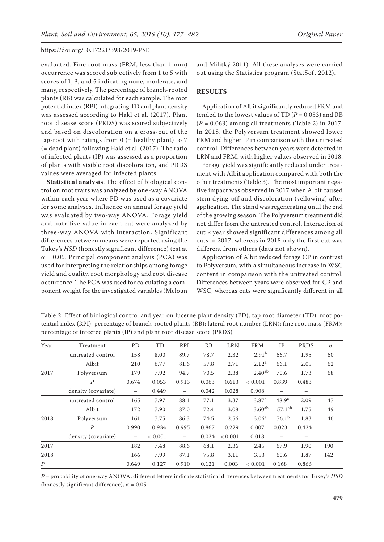evaluated. Fine root mass (FRM, less than 1 mm) occurrence was scored subjectively from 1 to 5 with scores of 1, 3, and 5 indicating none, moderate, and many, respectively. The percentage of branch-rooted plants (RB) was calculated for each sample. The root potential index (RPI) integrating TD and plant density was assessed according to Hakl et al. (2017). Plant root disease score (PRDS) was scored subjectively and based on discoloration on a cross-cut of the tap-root with ratings from  $0$  (= healthy plant) to 7 (= dead plant) following Hakl et al. (2017). The ratio of infected plants (IP) was assessed as a proportion of plants with visible root discoloration, and PRDS values were averaged for infected plants.

**Statistical analysis**. The effect of biological control on root traits was analyzed by one-way ANOVA within each year where PD was used as a covariate for some analyses. Influence on annual forage yield was evaluated by two-way ANOVA. Forage yield and nutritive value in each cut were analyzed by three-way ANOVA with interaction. Significant differences between means were reported using the Tukey's *HSD* (honestly significant difference) test at  $\alpha$  = 0.05. Principal component analysis (PCA) was used for interpreting the relationships among forage yield and quality, root morphology and root disease occurrence. The PCA was used for calculating a component weight for the investigated variables (Meloun and Militký 2011). All these analyses were carried out using the Statistica program (StatSoft 2012).

#### **RESULTS**

Application of Albit significantly reduced FRM and tended to the lowest values of TD  $(P = 0.053)$  and RB  $(P = 0.063)$  among all treatments (Table 2) in 2017. In 2018, the Polyversum treatment showed lower FRM and higher IP in comparison with the untreated control. Differences between years were detected in LRN and FRM, with higher values observed in 2018.

Forage yield was significantly reduced under treatment with Albit application compared with both the other treatments (Table 3). The most important negative impact was observed in 2017 when Albit caused stem dying-off and discoloration (yellowing) after application. The stand was regenerating until the end of the growing season. The Polyversum treatment did not differ from the untreated control. Interaction of cut × year showed significant differences among all cuts in 2017, whereas in 2018 only the first cut was different from others (data not shown).

Application of Albit reduced forage CP in contrast to Polyversum, with a simultaneous increase in WSC content in comparison with the untreated control. Differences between years were observed for CP and WSC, whereas cuts were significantly different in all

Table 2. Effect of biological control and year on lucerne plant density (PD); tap root diameter (TD); root potential index (RPI); percentage of branch-rooted plants (RB); lateral root number (LRN); fine root mass (FRM); percentage of infected plants (IP) and plant root disease score (PRDS)

| Year           | Treatment           | PD                       | TD      | <b>RPI</b>               | RB    | <b>LRN</b> | <b>FRM</b>         | IP                | PRDS  | $\boldsymbol{n}$ |
|----------------|---------------------|--------------------------|---------|--------------------------|-------|------------|--------------------|-------------------|-------|------------------|
|                | untreated control   | 158                      | 8.00    | 89.7                     | 78.7  | 2.32       | 2.91 <sup>b</sup>  | 66.7              | 1.95  | 60               |
| 2017           | Albit               | 210                      | 6.77    | 81.6                     | 57.8  | 2.71       | 2.12 <sup>a</sup>  | 66.1              | 2.05  | 62               |
|                | Polyversum          | 179                      | 7.92    | 94.7                     | 70.5  | 2.38       | 2.40 <sup>ab</sup> | 70.6              | 1.73  | 68               |
|                | $\boldsymbol{P}$    | 0.674                    | 0.053   | 0.913                    | 0.063 | 0.613      | ${}< 0.001$        | 0.839             | 0.483 |                  |
|                | density (covariate) | $\overline{\phantom{m}}$ | 0.449   | $\overline{\phantom{m}}$ | 0.042 | 0.028      | 0.908              |                   |       |                  |
| 2018           | untreated control   | 165                      | 7.97    | 88.1                     | 77.1  | 3.37       | 3.87 <sup>b</sup>  | 48.9 <sup>a</sup> | 2.09  | 47               |
|                | Albit               | 172                      | 7.90    | 87.0                     | 72.4  | 3.08       | 3.60 <sup>ab</sup> | $57.1^{ab}$       | 1.75  | 49               |
|                | Polyversum          | 161                      | 7.75    | 86.3                     | 74.5  | 2.56       | 3.06 <sup>a</sup>  | 76.1 <sup>b</sup> | 1.83  | 46               |
|                | $\boldsymbol{P}$    | 0.990                    | 0.934   | 0.995                    | 0.867 | 0.229      | 0.007              | 0.023             | 0.424 |                  |
|                | density (covariate) | $\overline{\phantom{m}}$ | < 0.001 | $\overline{\phantom{m}}$ | 0.024 | < 0.001    | 0.018              |                   |       |                  |
| 2017           |                     | 182                      | 7.48    | 88.6                     | 68.1  | 2.36       | 2.45               | 67.9              | 1.90  | 190              |
| 2018           |                     | 166                      | 7.99    | 87.1                     | 75.8  | 3.11       | 3.53               | 60.6              | 1.87  | 142              |
| $\overline{P}$ |                     | 0.649                    | 0.127   | 0.910                    | 0.121 | 0.003      | ${}< 0.001$        | 0.168             | 0.866 |                  |

*P* – probability of one-way ANOVA, different letters indicate statistical differences between treatments for Tukey's *HSD* (honestly significant difference),  $\alpha = 0.05$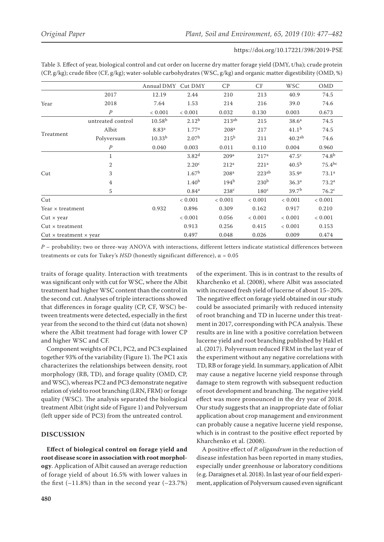Table 3. Effect of year, biological control and cut order on lucerne dry matter forage yield (DMY, t/ha); crude protein (CP, g/kg); crude fibre (CF, g/kg); water-soluble carbohydrates (WSC, g/kg) and organic matter digestibility (OMD, %)

|                                    |                   | Annual DMY Cut DMY |                   | CP               | CF                | WSC                | <b>OMD</b>        |
|------------------------------------|-------------------|--------------------|-------------------|------------------|-------------------|--------------------|-------------------|
|                                    | 2017              | 12.19              | 2.44              | 210              | 213               | 40.9               | 74.5              |
| Year                               | 2018              | 7.64               | 1.53              | 214              | 216               | 39.0               | 74.6              |
|                                    | $\boldsymbol{P}$  | ${}< 0.001$        | < 0.001           | 0.032            | 0.130             | 0.003              | 0.673             |
|                                    | untreated control | 10.58 <sup>b</sup> | 2.12 <sup>b</sup> | $213^{ab}$       | 215               | 38.6 <sup>a</sup>  | 74.5              |
|                                    | Albit             | 8.83 <sup>a</sup>  | 1.77 <sup>a</sup> | 208 <sup>a</sup> | 217               | 41.1 <sup>b</sup>  | 74.5              |
| Treatment                          | Polyversum        | 10.33 <sup>b</sup> | 2.07 <sup>b</sup> | 215 <sup>b</sup> | 211               | 40.2 <sup>ab</sup> | 74.6              |
|                                    | $\boldsymbol{P}$  | 0.040              | 0.003             | 0.011            | 0.110             | 0.004              | 0.960             |
|                                    | 1                 |                    | 3.82 <sup>d</sup> | 209 <sup>a</sup> | 217 <sup>a</sup>  | 47.5 <sup>c</sup>  | 74.8 <sup>b</sup> |
|                                    | 2                 |                    | 2.20 <sup>c</sup> | 212 <sup>a</sup> | 221 <sup>a</sup>  | 40.5 <sup>b</sup>  | $75.4^{bc}$       |
| Cut                                | 3                 |                    | 1.67 <sup>b</sup> | 208 <sup>a</sup> | 223 <sup>ab</sup> | 35.9 <sup>a</sup>  | 73.1 <sup>a</sup> |
|                                    | 4                 |                    | 1.40 <sup>b</sup> | 194 <sup>b</sup> | 230 <sup>b</sup>  | 36.3 <sup>a</sup>  | 73.2 <sup>a</sup> |
|                                    | 5                 |                    | 0.84 <sup>a</sup> | 238c             | 180 <sup>c</sup>  | 39.7 <sup>b</sup>  | 76.2 <sup>c</sup> |
| Cut                                |                   |                    | < 0.001           | < 0.001          | < 0.001           | ${}< 0.001$        | ${}< 0.001$       |
| Year × treatment                   |                   | 0.932              | 0.896             | 0.309            | 0.162             | 0.917              | 0.210             |
| $Cut \times year$                  |                   |                    | < 0.001           | 0.056            | < 0.001           | < 0.001            | ${}< 0.001$       |
| $Cut \times treatment$             |                   |                    | 0.913             | 0.256            | 0.415             | < 0.001            | 0.153             |
| $Cut \times treatment \times year$ |                   |                    | 0.497             | 0.048            | 0.026             | 0.009              | 0.474             |

*P* – probability; two or three-way ANOVA with interactions, different letters indicate statistical differences between treatments or cuts for Tukey's  $HSD$  (honestly significant difference),  $\alpha = 0.05$ 

traits of forage quality. Interaction with treatments was significant only with cut for WSC, where the Albit treatment had higher WSC content than the control in the second cut. Analyses of triple interactions showed that differences in forage quality (CP, CF, WSC) between treatments were detected, especially in the first year from the second to the third cut (data not shown) where the Albit treatment had forage with lower CP and higher WSC and CF.

Component weights of PC1, PC2, and PC3 explained together 93% of the variability (Figure 1). The PC1 axis characterizes the relationships between density, root morphology (RB, TD), and forage quality (OMD, CP, and WSC), whereas PC2 and PC3 demonstrate negative relation of yield to root branching (LRN, FRM) or forage quality (WSC). The analysis separated the biological treatment Albit (right side of Figure 1) and Polyversum (left upper side of PC3) from the untreated control.

# **DISCUSSION**

**Effect of biological control on forage yield and root disease score in association with root morphology**. Application of Albit caused an average reduction of forage yield of about 16.5% with lower values in the first  $(-11.8%)$  than in the second year  $(-23.7%)$  of the experiment. This is in contrast to the results of Kharchenko et al. (2008), where Albit was associated with increased fresh yield of lucerne of about 15–20%. The negative effect on forage yield obtained in our study could be associated primarily with reduced intensity of root branching and TD in lucerne under this treatment in 2017, corresponding with PCA analysis. These results are in line with a positive correlation between lucerne yield and root branching published by Hakl et al. (2017). Polyversum reduced FRM in the last year of the experiment without any negative correlations with TD, RB or forage yield. In summary, application of Albit may cause a negative lucerne yield response through damage to stem regrowth with subsequent reduction of root development and branching. The negative yield effect was more pronounced in the dry year of 2018. Our study suggests that an inappropriate date of foliar application about crop management and environment can probably cause a negative lucerne yield response, which is in contrast to the positive effect reported by Kharchenko et al. (2008).

A positive effect of *P. oligandrum* in the reduction of disease infestation has been reported in many studies, especially under greenhouse or laboratory conditions (e.g. Daraignes et al. 2018). In last year of our field experiment, application of Polyversum caused even significant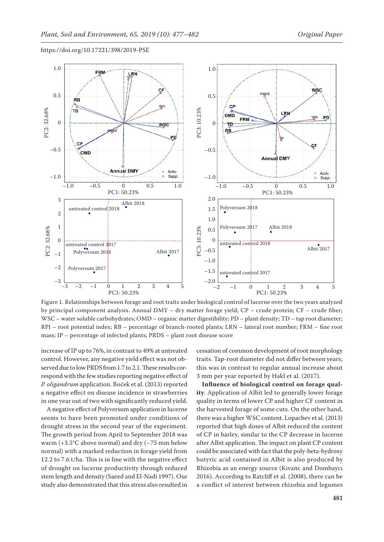

Figure 1. Relationships between forage and root traits under biological control of lucerne over the two years analyzed by principal component analysis. Annual DMY – dry matter forage yield; CP – crude protein; CF – crude fiber; WSC – water soluble carbohydrates; OMD – organic matter digestibility; PD – plant density; TD – tap root diameter; RPI – root potential index; RB – percentage of branch-rooted plants; LRN – lateral root number; FRM – fine root

increase of IP up to 76%, in contrast to 49% at untreated control. However, any negative yield effect was not observed due to low PRDS from 1.7 to 2.1. These results correspond with the few studies reporting negative effect of *P. oligandrum* application. Boček et al. (2013) reported a negative effect on disease incidence in strawberries in one year out of two with significantly reduced yield.

A negative effect of Polyversum application in lucerne seems to have been promoted under conditions of drought stress in the second year of the experiment. The growth period from April to September 2018 was warm (+3.5°C above normal) and dry (–75 mm below normal) with a marked reduction in forage yield from 12.2 to 7.6 t/ha. This is in line with the negative effect of drought on lucerne productivity through reduced stem length and density (Saeed and El-Nadi 1997). Our study also demonstrated that this stress also resulted in

cessation of common development of root morphology traits. Tap-root diameter did not differ between years; this was in contrast to regular annual increase about 3 mm per year reported by Hakl et al. (2017).

**Influence of biological control on forage quality**. Application of Albit led to generally lower forage quality in terms of lower CP and higher CF content in the harvested forage of some cuts. On the other hand, there was a higher WSC content. Lopachev et al. (2013) reported that high doses of Albit reduced the content of CP in barley, similar to the CP decrease in lucerne after Albit application. The impact on plant CP content could be associated with fact that the poly-beta-hydroxy butyric acid contained in Albit is also produced by Rhizobia as an energy source (Kıvanc and Dombaycı 2016). According to Ratcliff et al. (2008), there can be a conflict of interest between rhizobia and legumes